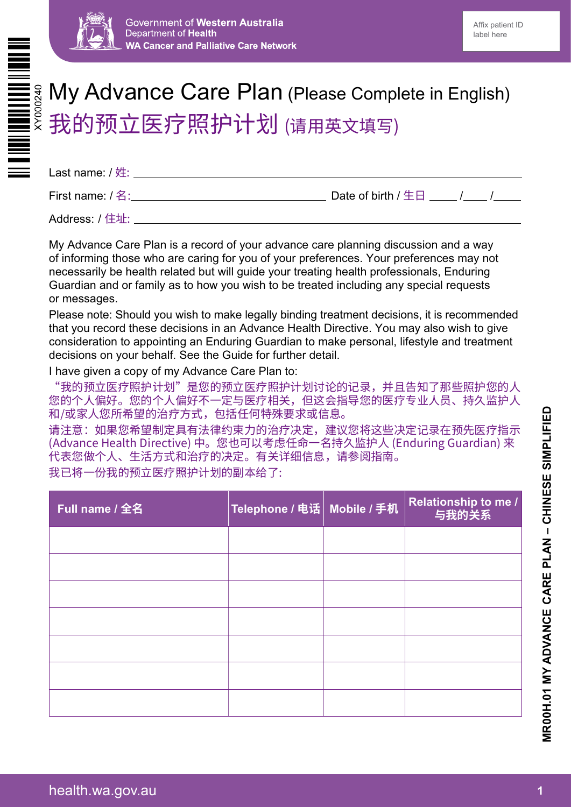



# My Advance Care Plan (Please Complete in English) 我的预立医疗照护计划 (请用英文填写)

| Last name: / 姓:   |                    |
|-------------------|--------------------|
| First name: / 名:_ | Date of birth / 生日 |
| .                 |                    |

Address: / 住址:

My Advance Care Plan is a record of your advance care planning discussion and a way of informing those who are caring for you of your preferences. Your preferences may not necessarily be health related but will guide your treating health professionals, Enduring Guardian and or family as to how you wish to be treated including any special requests or messages.

Please note: Should you wish to make legally binding treatment decisions, it is recommended that you record these decisions in an Advance Health Directive. You may also wish to give consideration to appointing an Enduring Guardian to make personal, lifestyle and treatment decisions on your behalf. See the Guide for further detail.

I have given a copy of my Advance Care Plan to:

"我的预立医疗照护计划"是您的预立医疗照护计划讨论的记录,并且告知了那些照护您的人 您的个人偏好。您的个人偏好不一定与医疗相关,但这会指导您的医疗专业人员、持久监护人 和/或家人您所希望的治疗方式,包括任何特殊要求或信息。

请注意:如果您希望制定具有法律约束力的治疗决定,建议您将这些决定记录在预先医疗指示 (Advance Health Directive) 中。您也可以考虑任命一名持久监护人 (Enduring Guardian) 来 代表您做个人、生活方式和治疗的决定。有关详细信息,请参阅指南。 我已将一份我的预立医疗照护计划的副本给了:

| Full name / 全名 | Telephone / 电话   Mobile / 手机 | Relationship to me /<br>与我的关系 |
|----------------|------------------------------|-------------------------------|
|                |                              |                               |
|                |                              |                               |
|                |                              |                               |
|                |                              |                               |
|                |                              |                               |
|                |                              |                               |
|                |                              |                               |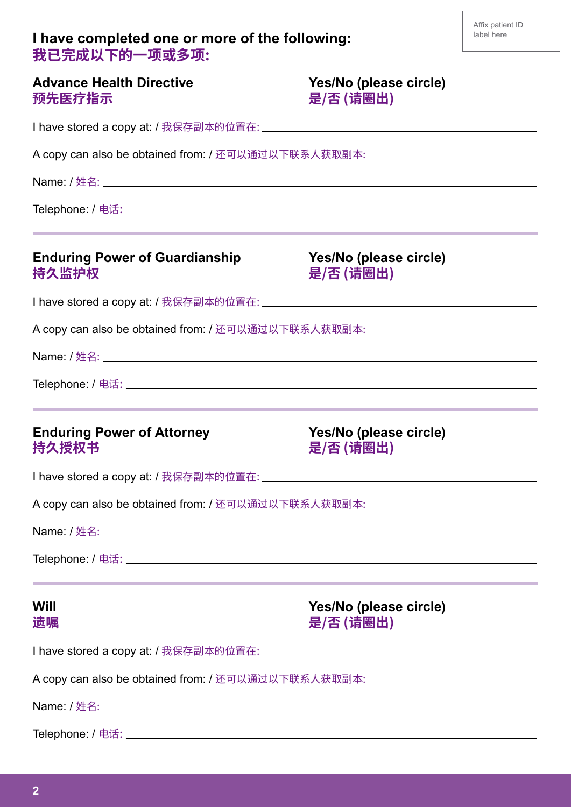## **I have completed one or more of the following: 我已完成以下的一项或多项:**

| Advance Health Directive |  |
|--------------------------|--|
| 预先医疗指示                   |  |

Yes/No (please circle) 是/否 (请圈出)

I have stored a copy at: / 我保存副本的位置在:

A copy can also be obtained from: / 还可以通过以下联系人获取副本:

Name: / 姓名:

Telephone: / 电话:

## **Enduring Power of Guardianship Yes/No (please circle) 持久监护权 是/否 (请圈出)**

I have stored a copy at: / 我保存副本的位置在:

A copy can also be obtained from: / 还可以通过以下联系人获取副本:

Name: / 姓名:

Telephone: / 电话:

#### **Enduring Power of Attorney Mes/No (please circle) 持久授权书 いきょう おおおお おおお えんこう 是/否 (请圏出)**

I have stored a copy at: / 我保存副本的位置在:

A copy can also be obtained from: / 还可以通过以下联系人获取副本:

Name: / 姓名:

Telephone: / 电话:

**Will Yes/No (please circle) 遗嘱 是/否 (请圈出)** 

I have stored a copy at: / 我保存副本的位置在:

A copy can also be obtained from: / 还可以通过以下联系人获取副本:

Name: / 姓名:

Telephone: / 电话: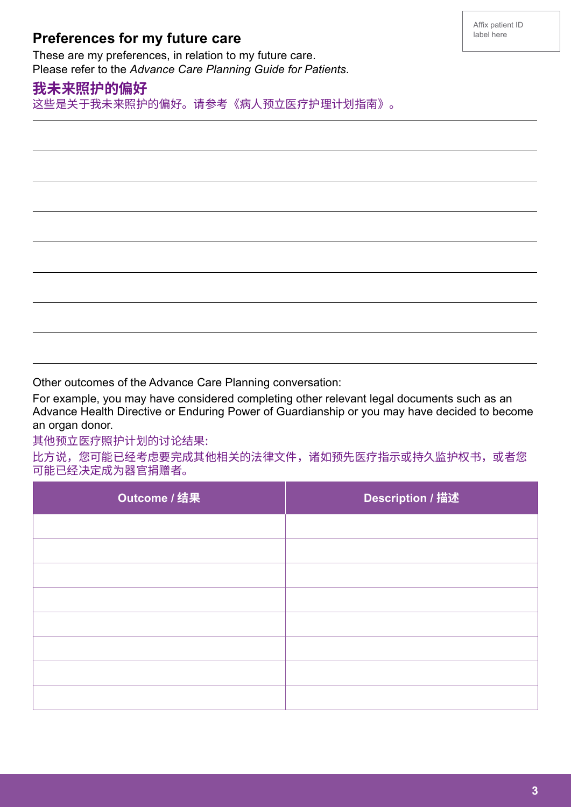# **Preferences for my future care**

These are my preferences, in relation to my future care. Please refer to the *Advance Care Planning Guide for Patients*.

## **我未来照护的偏好**

 $\overline{a}$ 

 $\overline{a}$ 

 $\overline{a}$ 

 $\overline{a}$ 

 $\overline{a}$ 

 $\overline{a}$ 

 $\overline{a}$ 

L

这些是关于我未来照护的偏好。请参考《病人预立医疗护理计划指南》。

Other outcomes of the Advance Care Planning conversation:

For example, you may have considered completing other relevant legal documents such as an Advance Health Directive or Enduring Power of Guardianship or you may have decided to become an organ donor.

其他预立医疗照护计划的讨论结果:

比方说,您可能已经考虑要完成其他相关的法律文件,诸如预先医疗指示或持久监护权书,或者您 可能已经决定成为器官捐赠者。

| Outcome / 结果 | <b>Description / 描述</b> |
|--------------|-------------------------|
|              |                         |
|              |                         |
|              |                         |
|              |                         |
|              |                         |
|              |                         |
|              |                         |
|              |                         |